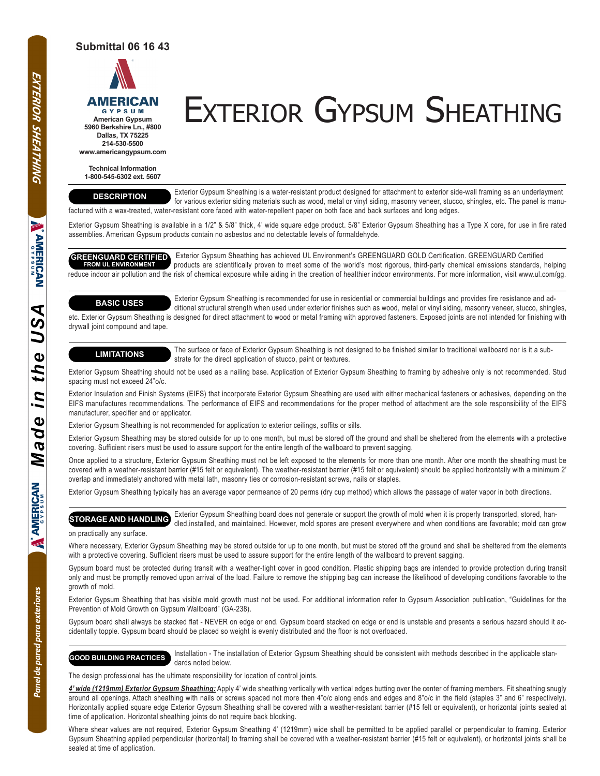# **Submittal 06 16 43**



# AMERICAN EXTERIOR GYPSUM SHEATHING

**Dallas, TX 75225 214-530-5500 www.americangypsum.com**

**Technical Information 1-800-545-6302 ext. 5607**

# **DESCRIPTION**

 Exterior Gypsum Sheathing is a water-resistant product designed for attachment to exterior side-wall framing as an underlayment for various exterior siding materials such as wood, metal or vinyl siding, masonry veneer, stucco, shingles, etc. The panel is manufactured with a wax-treated, water-resistant core faced with water-repellent paper on both face and back surfaces and long edges.

Exterior Gypsum Sheathing is available in a 1/2" & 5/8" thick, 4' wide square edge product. 5/8" Exterior Gypsum Sheathing has a Type X core, for use in fire rated assemblies. American Gypsum products contain no asbestos and no detectable levels of formaldehyde.

#### **GREENGUARD CERTIFIED FROM UL ENVIRONMENT**

 Exterior Gypsum Sheathing has achieved UL Environment's GREENGUARD GOLD Certification. GREENGUARD Certified products are scientifically proven to meet some of the world's most rigorous, third-party chemical emissions standards, helping reduce indoor air pollution and the risk of chemical exposure while aiding in the creation of healthier indoor environments. For more information, visit www.ul.com/gg.

## **BASIC USES**

 Exterior Gypsum Sheathing is recommended for use in residential or commercial buildings and provides fire resistance and ad ditional structural strength when used under exterior finishes such as wood, metal or vinyl siding, masonry veneer, stucco, shingles, etc. Exterior Gypsum Sheathing is designed for direct attachment to wood or metal framing with approved fasteners. Exposed joints are not intended for finishing with drywall joint compound and tape.

**LIMITATIONS** The surface or face of Exterior Gypsum Sheathing is not designed to be finished similar to traditional wallboard nor is it a substrate for the direct application of stucco, paint or textures.

Exterior Gypsum Sheathing should not be used as a nailing base. Application of Exterior Gypsum Sheathing to framing by adhesive only is not recommended. Stud spacing must not exceed 24"o/c.

Exterior Insulation and Finish Systems (EIFS) that incorporate Exterior Gypsum Sheathing are used with either mechanical fasteners or adhesives, depending on the EIFS manufactures recommendations. The performance of EIFS and recommendations for the proper method of attachment are the sole responsibility of the EIFS manufacturer, specifier and or applicator.

Exterior Gypsum Sheathing is not recommended for application to exterior ceilings, soffits or sills.

Exterior Gypsum Sheathing may be stored outside for up to one month, but must be stored off the ground and shall be sheltered from the elements with a protective covering. Sufficient risers must be used to assure support for the entire length of the wallboard to prevent sagging.

Once applied to a structure, Exterior Gypsum Sheathing must not be left exposed to the elements for more than one month. After one month the sheathing must be covered with a weather-resistant barrier (#15 felt or equivalent). The weather-resistant barrier (#15 felt or equivalent) should be applied horizontally with a minimum 2' overlap and immediately anchored with metal lath, masonry ties or corrosion-resistant screws, nails or staples.

Exterior Gypsum Sheathing typically has an average vapor permeance of 20 perms (dry cup method) which allows the passage of water vapor in both directions.

 Exterior Gypsum Sheathing board does not generate or support the growth of mold when it is properly transported, stored, han dled,installed, and maintained. However, mold spores are present everywhere and when conditions are favorable; mold can grow **STORAGE AND HANDLING**

### on practically any surface.

Where necessary, Exterior Gypsum Sheathing may be stored outside for up to one month, but must be stored off the ground and shall be sheltered from the elements with a protective covering. Sufficient risers must be used to assure support for the entire length of the wallboard to prevent sagging.

Gypsum board must be protected during transit with a weather-tight cover in good condition. Plastic shipping bags are intended to provide protection during transit only and must be promptly removed upon arrival of the load. Failure to remove the shipping bag can increase the likelihood of developing conditions favorable to the growth of mold.

Exterior Gypsum Sheathing that has visible mold growth must not be used. For additional information refer to Gypsum Association publication, "Guidelines for the Prevention of Mold Growth on Gypsum Wallboard" (GA-238).

Gypsum board shall always be stacked flat - NEVER on edge or end. Gypsum board stacked on edge or end is unstable and presents a serious hazard should it accidentally topple. Gypsum board should be placed so weight is evenly distributed and the floor is not overloaded.

 Installation - The installation of Exterior Gypsum Sheathing should be consistent with methods described in the applicable stan dards noted below. **GOOD BUILDING PRACTICES**

The design professional has the ultimate responsibility for location of control joints.

*4' wide (1219mm) Exterior Gypsum Sheathing:* Apply 4' wide sheathing vertically with vertical edges butting over the center of framing members. Fit sheathing snugly around all openings. Attach sheathing with nails or screws spaced not more then 4"o/c along ends and edges and 8"o/c in the field (staples 3" and 6" respectively). Horizontally applied square edge Exterior Gypsum Sheathing shall be covered with a weather-resistant barrier (#15 felt or equivalent), or horizontal joints sealed at time of application. Horizontal sheathing joints do not require back blocking.

Where shear values are not required, Exterior Gypsum Sheathing 4' (1219mm) wide shall be permitted to be applied parallel or perpendicular to framing. Exterior Gypsum Sheathing applied perpendicular (horizontal) to framing shall be covered with a weather-resistant barrier (#15 felt or equivalent), or horizontal joints shall be sealed at time of application.

Panel de pared para exteriores